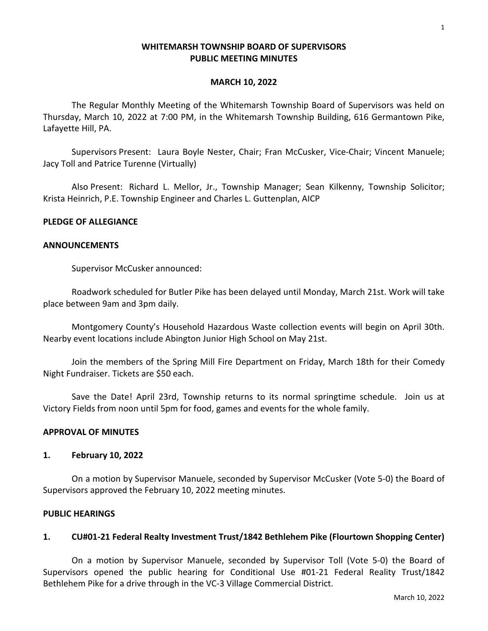### **WHITEMARSH TOWNSHIP BOARD OF SUPERVISORS PUBLIC MEETING MINUTES**

#### **MARCH 10, 2022**

The Regular Monthly Meeting of the Whitemarsh Township Board of Supervisors was held on Thursday, March 10, 2022 at 7:00 PM, in the Whitemarsh Township Building, 616 Germantown Pike, Lafayette Hill, PA.

Supervisors Present: Laura Boyle Nester, Chair; Fran McCusker, Vice-Chair; Vincent Manuele; Jacy Toll and Patrice Turenne (Virtually)

Also Present: Richard L. Mellor, Jr., Township Manager; Sean Kilkenny, Township Solicitor; Krista Heinrich, P.E. Township Engineer and Charles L. Guttenplan, AICP

### **PLEDGE OF ALLEGIANCE**

#### **ANNOUNCEMENTS**

Supervisor McCusker announced:

Roadwork scheduled for Butler Pike has been delayed until Monday, March 21st. Work will take place between 9am and 3pm daily.

Montgomery County's Household Hazardous Waste collection events will begin on April 30th. Nearby event locations include Abington Junior High School on May 21st.

Join the members of the Spring Mill Fire Department on Friday, March 18th for their Comedy Night Fundraiser. Tickets are \$50 each.

Save the Date! April 23rd, Township returns to its normal springtime schedule. Join us at Victory Fields from noon until 5pm for food, games and events for the whole family.

### **APPROVAL OF MINUTES**

#### **1. February 10, 2022**

On a motion by Supervisor Manuele, seconded by Supervisor McCusker (Vote 5-0) the Board of Supervisors approved the February 10, 2022 meeting minutes.

#### **PUBLIC HEARINGS**

### **1. CU#01-21 Federal Realty Investment Trust/1842 Bethlehem Pike (Flourtown Shopping Center)**

On a motion by Supervisor Manuele, seconded by Supervisor Toll (Vote 5-0) the Board of Supervisors opened the public hearing for Conditional Use #01-21 Federal Reality Trust/1842 Bethlehem Pike for a drive through in the VC-3 Village Commercial District.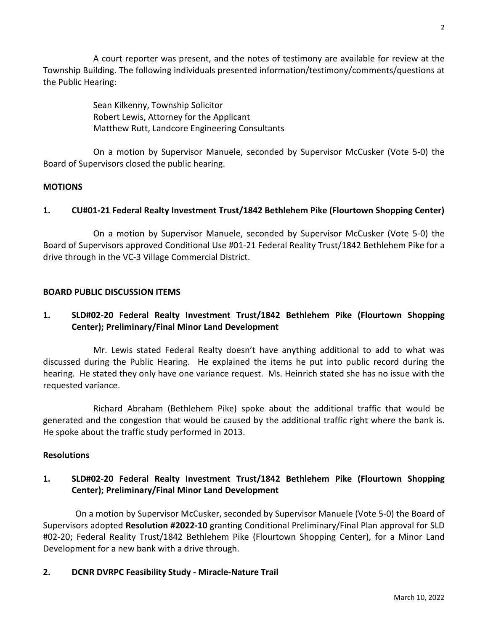A court reporter was present, and the notes of testimony are available for review at the Township Building. The following individuals presented information/testimony/comments/questions at the Public Hearing:

> Sean Kilkenny, Township Solicitor Robert Lewis, Attorney for the Applicant Matthew Rutt, Landcore Engineering Consultants

On a motion by Supervisor Manuele, seconded by Supervisor McCusker (Vote 5-0) the Board of Supervisors closed the public hearing.

## **MOTIONS**

# **1. CU#01-21 Federal Realty Investment Trust/1842 Bethlehem Pike (Flourtown Shopping Center)**

On a motion by Supervisor Manuele, seconded by Supervisor McCusker (Vote 5-0) the Board of Supervisors approved Conditional Use #01-21 Federal Reality Trust/1842 Bethlehem Pike for a drive through in the VC-3 Village Commercial District.

## **BOARD PUBLIC DISCUSSION ITEMS**

# **1. SLD#02-20 Federal Realty Investment Trust/1842 Bethlehem Pike (Flourtown Shopping Center); Preliminary/Final Minor Land Development**

Mr. Lewis stated Federal Realty doesn't have anything additional to add to what was discussed during the Public Hearing. He explained the items he put into public record during the hearing. He stated they only have one variance request. Ms. Heinrich stated she has no issue with the requested variance.

Richard Abraham (Bethlehem Pike) spoke about the additional traffic that would be generated and the congestion that would be caused by the additional traffic right where the bank is. He spoke about the traffic study performed in 2013.

## **Resolutions**

# **1. SLD#02-20 Federal Realty Investment Trust/1842 Bethlehem Pike (Flourtown Shopping Center); Preliminary/Final Minor Land Development**

On a motion by Supervisor McCusker, seconded by Supervisor Manuele (Vote 5-0) the Board of Supervisors adopted **Resolution #2022-10** granting Conditional Preliminary/Final Plan approval for SLD #02-20; Federal Reality Trust/1842 Bethlehem Pike (Flourtown Shopping Center), for a Minor Land Development for a new bank with a drive through.

## **2. DCNR DVRPC Feasibility Study - Miracle-Nature Trail**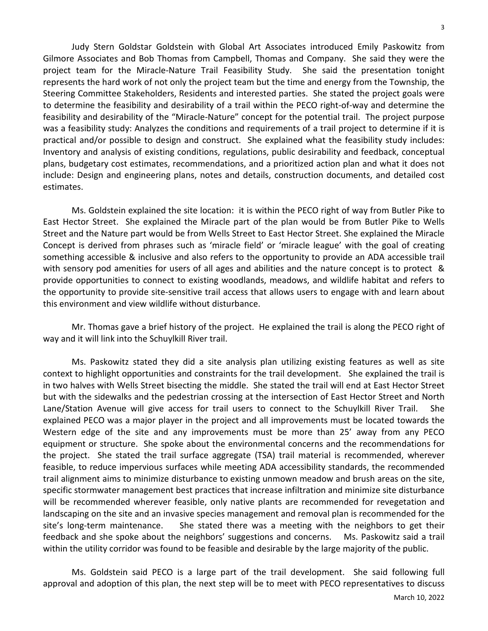3

Judy Stern Goldstar Goldstein with Global Art Associates introduced Emily Paskowitz from Gilmore Associates and Bob Thomas from Campbell, Thomas and Company. She said they were the project team for the Miracle-Nature Trail Feasibility Study. She said the presentation tonight represents the hard work of not only the project team but the time and energy from the Township, the Steering Committee Stakeholders, Residents and interested parties. She stated the project goals were to determine the feasibility and desirability of a trail within the PECO right-of-way and determine the feasibility and desirability of the "Miracle-Nature" concept for the potential trail. The project purpose was a feasibility study: Analyzes the conditions and requirements of a trail project to determine if it is practical and/or possible to design and construct. She explained what the feasibility study includes: Inventory and analysis of existing conditions, regulations, public desirability and feedback, conceptual plans, budgetary cost estimates, recommendations, and a prioritized action plan and what it does not include: Design and engineering plans, notes and details, construction documents, and detailed cost estimates.

Ms. Goldstein explained the site location: it is within the PECO right of way from Butler Pike to East Hector Street. She explained the Miracle part of the plan would be from Butler Pike to Wells Street and the Nature part would be from Wells Street to East Hector Street. She explained the Miracle Concept is derived from phrases such as 'miracle field' or 'miracle league' with the goal of creating something accessible & inclusive and also refers to the opportunity to provide an ADA accessible trail with sensory pod amenities for users of all ages and abilities and the nature concept is to protect & provide opportunities to connect to existing woodlands, meadows, and wildlife habitat and refers to the opportunity to provide site-sensitive trail access that allows users to engage with and learn about this environment and view wildlife without disturbance.

Mr. Thomas gave a brief history of the project. He explained the trail is along the PECO right of way and it will link into the Schuylkill River trail.

Ms. Paskowitz stated they did a site analysis plan utilizing existing features as well as site context to highlight opportunities and constraints for the trail development. She explained the trail is in two halves with Wells Street bisecting the middle. She stated the trail will end at East Hector Street but with the sidewalks and the pedestrian crossing at the intersection of East Hector Street and North Lane/Station Avenue will give access for trail users to connect to the Schuylkill River Trail. She explained PECO was a major player in the project and all improvements must be located towards the Western edge of the site and any improvements must be more than 25' away from any PECO equipment or structure. She spoke about the environmental concerns and the recommendations for the project. She stated the trail surface aggregate (TSA) trail material is recommended, wherever feasible, to reduce impervious surfaces while meeting ADA accessibility standards, the recommended trail alignment aims to minimize disturbance to existing unmown meadow and brush areas on the site, specific stormwater management best practices that increase infiltration and minimize site disturbance will be recommended wherever feasible, only native plants are recommended for revegetation and landscaping on the site and an invasive species management and removal plan is recommended for the site's long-term maintenance. She stated there was a meeting with the neighbors to get their feedback and she spoke about the neighbors' suggestions and concerns. Ms. Paskowitz said a trail within the utility corridor was found to be feasible and desirable by the large majority of the public.

Ms. Goldstein said PECO is a large part of the trail development. She said following full approval and adoption of this plan, the next step will be to meet with PECO representatives to discuss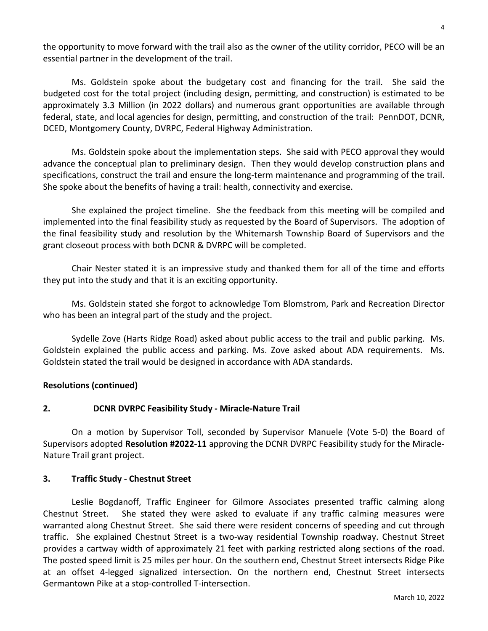the opportunity to move forward with the trail also as the owner of the utility corridor, PECO will be an essential partner in the development of the trail.

Ms. Goldstein spoke about the budgetary cost and financing for the trail. She said the budgeted cost for the total project (including design, permitting, and construction) is estimated to be approximately 3.3 Million (in 2022 dollars) and numerous grant opportunities are available through federal, state, and local agencies for design, permitting, and construction of the trail: PennDOT, DCNR, DCED, Montgomery County, DVRPC, Federal Highway Administration.

Ms. Goldstein spoke about the implementation steps. She said with PECO approval they would advance the conceptual plan to preliminary design. Then they would develop construction plans and specifications, construct the trail and ensure the long-term maintenance and programming of the trail. She spoke about the benefits of having a trail: health, connectivity and exercise.

She explained the project timeline. She the feedback from this meeting will be compiled and implemented into the final feasibility study as requested by the Board of Supervisors. The adoption of the final feasibility study and resolution by the Whitemarsh Township Board of Supervisors and the grant closeout process with both DCNR & DVRPC will be completed.

Chair Nester stated it is an impressive study and thanked them for all of the time and efforts they put into the study and that it is an exciting opportunity.

Ms. Goldstein stated she forgot to acknowledge Tom Blomstrom, Park and Recreation Director who has been an integral part of the study and the project.

Sydelle Zove (Harts Ridge Road) asked about public access to the trail and public parking. Ms. Goldstein explained the public access and parking. Ms. Zove asked about ADA requirements. Ms. Goldstein stated the trail would be designed in accordance with ADA standards.

## **Resolutions (continued)**

## **2. DCNR DVRPC Feasibility Study - Miracle-Nature Trail**

On a motion by Supervisor Toll, seconded by Supervisor Manuele (Vote 5-0) the Board of Supervisors adopted **Resolution #2022-11** approving the DCNR DVRPC Feasibility study for the Miracle-Nature Trail grant project.

### **3. Traffic Study - Chestnut Street**

Leslie Bogdanoff, Traffic Engineer for Gilmore Associates presented traffic calming along Chestnut Street. She stated they were asked to evaluate if any traffic calming measures were warranted along Chestnut Street. She said there were resident concerns of speeding and cut through traffic. She explained Chestnut Street is a two-way residential Township roadway. Chestnut Street provides a cartway width of approximately 21 feet with parking restricted along sections of the road. The posted speed limit is 25 miles per hour. On the southern end, Chestnut Street intersects Ridge Pike at an offset 4-legged signalized intersection. On the northern end, Chestnut Street intersects Germantown Pike at a stop-controlled T-intersection.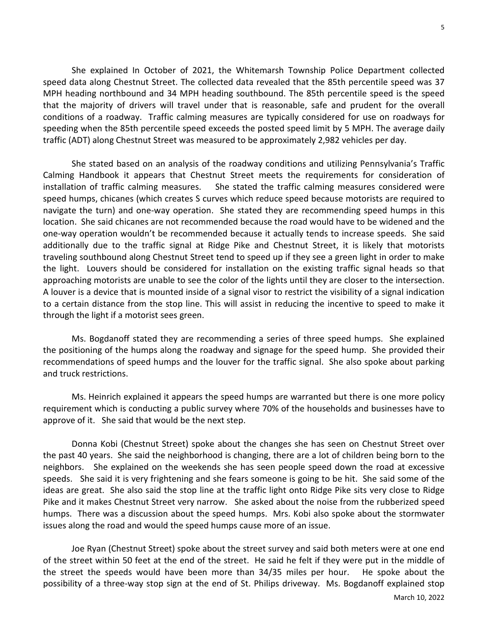She explained In October of 2021, the Whitemarsh Township Police Department collected speed data along Chestnut Street. The collected data revealed that the 85th percentile speed was 37 MPH heading northbound and 34 MPH heading southbound. The 85th percentile speed is the speed that the majority of drivers will travel under that is reasonable, safe and prudent for the overall conditions of a roadway. Traffic calming measures are typically considered for use on roadways for speeding when the 85th percentile speed exceeds the posted speed limit by 5 MPH. The average daily traffic (ADT) along Chestnut Street was measured to be approximately 2,982 vehicles per day.

She stated based on an analysis of the roadway conditions and utilizing Pennsylvania's Traffic Calming Handbook it appears that Chestnut Street meets the requirements for consideration of installation of traffic calming measures. She stated the traffic calming measures considered were speed humps, chicanes (which creates S curves which reduce speed because motorists are required to navigate the turn) and one-way operation. She stated they are recommending speed humps in this location. She said chicanes are not recommended because the road would have to be widened and the one-way operation wouldn't be recommended because it actually tends to increase speeds. She said additionally due to the traffic signal at Ridge Pike and Chestnut Street, it is likely that motorists traveling southbound along Chestnut Street tend to speed up if they see a green light in order to make the light. Louvers should be considered for installation on the existing traffic signal heads so that approaching motorists are unable to see the color of the lights until they are closer to the intersection. A louver is a device that is mounted inside of a signal visor to restrict the visibility of a signal indication to a certain distance from the stop line. This will assist in reducing the incentive to speed to make it through the light if a motorist sees green.

Ms. Bogdanoff stated they are recommending a series of three speed humps. She explained the positioning of the humps along the roadway and signage for the speed hump. She provided their recommendations of speed humps and the louver for the traffic signal. She also spoke about parking and truck restrictions.

Ms. Heinrich explained it appears the speed humps are warranted but there is one more policy requirement which is conducting a public survey where 70% of the households and businesses have to approve of it. She said that would be the next step.

Donna Kobi (Chestnut Street) spoke about the changes she has seen on Chestnut Street over the past 40 years. She said the neighborhood is changing, there are a lot of children being born to the neighbors. She explained on the weekends she has seen people speed down the road at excessive speeds. She said it is very frightening and she fears someone is going to be hit. She said some of the ideas are great. She also said the stop line at the traffic light onto Ridge Pike sits very close to Ridge Pike and it makes Chestnut Street very narrow. She asked about the noise from the rubberized speed humps. There was a discussion about the speed humps. Mrs. Kobi also spoke about the stormwater issues along the road and would the speed humps cause more of an issue.

Joe Ryan (Chestnut Street) spoke about the street survey and said both meters were at one end of the street within 50 feet at the end of the street. He said he felt if they were put in the middle of the street the speeds would have been more than 34/35 miles per hour. He spoke about the possibility of a three-way stop sign at the end of St. Philips driveway. Ms. Bogdanoff explained stop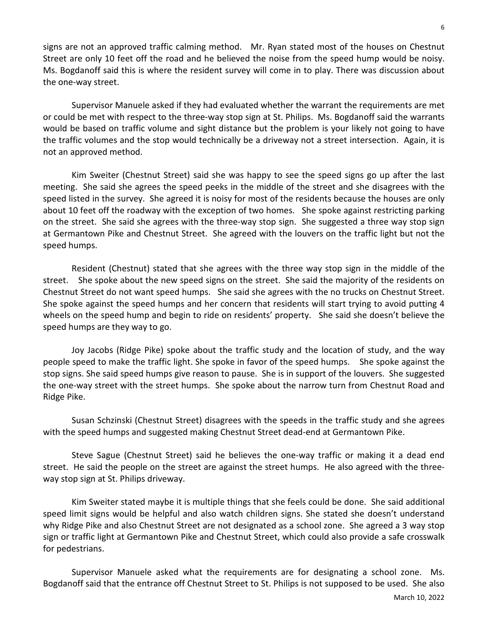signs are not an approved traffic calming method. Mr. Ryan stated most of the houses on Chestnut Street are only 10 feet off the road and he believed the noise from the speed hump would be noisy. Ms. Bogdanoff said this is where the resident survey will come in to play. There was discussion about the one-way street.

Supervisor Manuele asked if they had evaluated whether the warrant the requirements are met or could be met with respect to the three-way stop sign at St. Philips. Ms. Bogdanoff said the warrants would be based on traffic volume and sight distance but the problem is your likely not going to have the traffic volumes and the stop would technically be a driveway not a street intersection. Again, it is not an approved method.

Kim Sweiter (Chestnut Street) said she was happy to see the speed signs go up after the last meeting. She said she agrees the speed peeks in the middle of the street and she disagrees with the speed listed in the survey. She agreed it is noisy for most of the residents because the houses are only about 10 feet off the roadway with the exception of two homes. She spoke against restricting parking on the street. She said she agrees with the three-way stop sign. She suggested a three way stop sign at Germantown Pike and Chestnut Street. She agreed with the louvers on the traffic light but not the speed humps.

Resident (Chestnut) stated that she agrees with the three way stop sign in the middle of the street. She spoke about the new speed signs on the street. She said the majority of the residents on Chestnut Street do not want speed humps. She said she agrees with the no trucks on Chestnut Street. She spoke against the speed humps and her concern that residents will start trying to avoid putting 4 wheels on the speed hump and begin to ride on residents' property. She said she doesn't believe the speed humps are they way to go.

Joy Jacobs (Ridge Pike) spoke about the traffic study and the location of study, and the way people speed to make the traffic light. She spoke in favor of the speed humps. She spoke against the stop signs. She said speed humps give reason to pause. She is in support of the louvers. She suggested the one-way street with the street humps. She spoke about the narrow turn from Chestnut Road and Ridge Pike.

Susan Schzinski (Chestnut Street) disagrees with the speeds in the traffic study and she agrees with the speed humps and suggested making Chestnut Street dead-end at Germantown Pike.

Steve Sague (Chestnut Street) said he believes the one-way traffic or making it a dead end street. He said the people on the street are against the street humps. He also agreed with the threeway stop sign at St. Philips driveway.

Kim Sweiter stated maybe it is multiple things that she feels could be done. She said additional speed limit signs would be helpful and also watch children signs. She stated she doesn't understand why Ridge Pike and also Chestnut Street are not designated as a school zone. She agreed a 3 way stop sign or traffic light at Germantown Pike and Chestnut Street, which could also provide a safe crosswalk for pedestrians.

Supervisor Manuele asked what the requirements are for designating a school zone. Ms. Bogdanoff said that the entrance off Chestnut Street to St. Philips is not supposed to be used. She also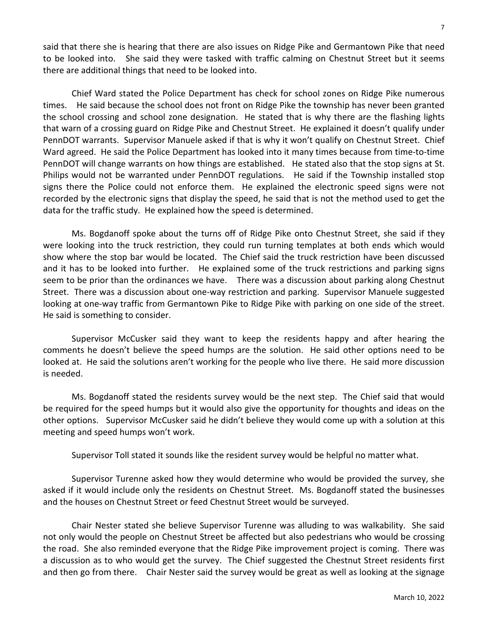said that there she is hearing that there are also issues on Ridge Pike and Germantown Pike that need to be looked into. She said they were tasked with traffic calming on Chestnut Street but it seems there are additional things that need to be looked into.

Chief Ward stated the Police Department has check for school zones on Ridge Pike numerous times. He said because the school does not front on Ridge Pike the township has never been granted the school crossing and school zone designation. He stated that is why there are the flashing lights that warn of a crossing guard on Ridge Pike and Chestnut Street. He explained it doesn't qualify under PennDOT warrants. Supervisor Manuele asked if that is why it won't qualify on Chestnut Street. Chief Ward agreed. He said the Police Department has looked into it many times because from time-to-time PennDOT will change warrants on how things are established. He stated also that the stop signs at St. Philips would not be warranted under PennDOT regulations. He said if the Township installed stop signs there the Police could not enforce them. He explained the electronic speed signs were not recorded by the electronic signs that display the speed, he said that is not the method used to get the data for the traffic study. He explained how the speed is determined.

Ms. Bogdanoff spoke about the turns off of Ridge Pike onto Chestnut Street, she said if they were looking into the truck restriction, they could run turning templates at both ends which would show where the stop bar would be located. The Chief said the truck restriction have been discussed and it has to be looked into further. He explained some of the truck restrictions and parking signs seem to be prior than the ordinances we have. There was a discussion about parking along Chestnut Street. There was a discussion about one-way restriction and parking. Supervisor Manuele suggested looking at one-way traffic from Germantown Pike to Ridge Pike with parking on one side of the street. He said is something to consider.

Supervisor McCusker said they want to keep the residents happy and after hearing the comments he doesn't believe the speed humps are the solution. He said other options need to be looked at. He said the solutions aren't working for the people who live there. He said more discussion is needed.

Ms. Bogdanoff stated the residents survey would be the next step. The Chief said that would be required for the speed humps but it would also give the opportunity for thoughts and ideas on the other options. Supervisor McCusker said he didn't believe they would come up with a solution at this meeting and speed humps won't work.

Supervisor Toll stated it sounds like the resident survey would be helpful no matter what.

Supervisor Turenne asked how they would determine who would be provided the survey, she asked if it would include only the residents on Chestnut Street. Ms. Bogdanoff stated the businesses and the houses on Chestnut Street or feed Chestnut Street would be surveyed.

Chair Nester stated she believe Supervisor Turenne was alluding to was walkability. She said not only would the people on Chestnut Street be affected but also pedestrians who would be crossing the road. She also reminded everyone that the Ridge Pike improvement project is coming. There was a discussion as to who would get the survey. The Chief suggested the Chestnut Street residents first and then go from there. Chair Nester said the survey would be great as well as looking at the signage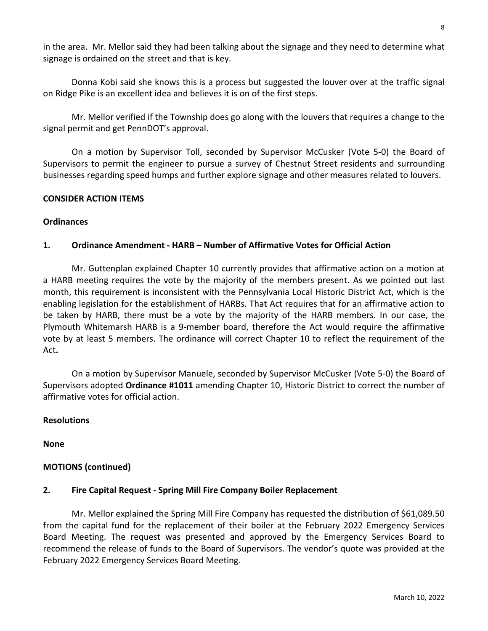in the area. Mr. Mellor said they had been talking about the signage and they need to determine what signage is ordained on the street and that is key.

Donna Kobi said she knows this is a process but suggested the louver over at the traffic signal on Ridge Pike is an excellent idea and believes it is on of the first steps.

Mr. Mellor verified if the Township does go along with the louvers that requires a change to the signal permit and get PennDOT's approval.

On a motion by Supervisor Toll, seconded by Supervisor McCusker (Vote 5-0) the Board of Supervisors to permit the engineer to pursue a survey of Chestnut Street residents and surrounding businesses regarding speed humps and further explore signage and other measures related to louvers.

### **CONSIDER ACTION ITEMS**

### **Ordinances**

## **1. Ordinance Amendment - HARB – Number of Affirmative Votes for Official Action**

Mr. Guttenplan explained Chapter 10 currently provides that affirmative action on a motion at a HARB meeting requires the vote by the majority of the members present. As we pointed out last month, this requirement is inconsistent with the Pennsylvania Local Historic District Act, which is the enabling legislation for the establishment of HARBs. That Act requires that for an affirmative action to be taken by HARB, there must be a vote by the majority of the HARB members. In our case, the Plymouth Whitemarsh HARB is a 9-member board, therefore the Act would require the affirmative vote by at least 5 members. The ordinance will correct Chapter 10 to reflect the requirement of the Act**.**

On a motion by Supervisor Manuele, seconded by Supervisor McCusker (Vote 5-0) the Board of Supervisors adopted **Ordinance #1011** amending Chapter 10, Historic District to correct the number of affirmative votes for official action.

## **Resolutions**

**None**

## **MOTIONS (continued)**

### **2. Fire Capital Request - Spring Mill Fire Company Boiler Replacement**

Mr. Mellor explained the Spring Mill Fire Company has requested the distribution of \$61,089.50 from the capital fund for the replacement of their boiler at the February 2022 Emergency Services Board Meeting. The request was presented and approved by the Emergency Services Board to recommend the release of funds to the Board of Supervisors. The vendor's quote was provided at the February 2022 Emergency Services Board Meeting.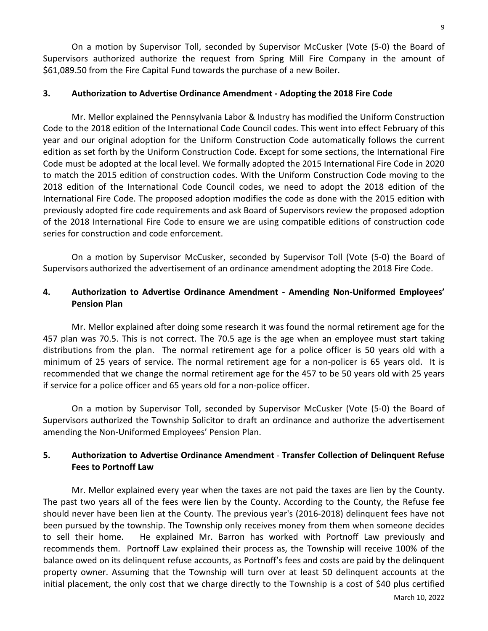On a motion by Supervisor Toll, seconded by Supervisor McCusker (Vote (5-0) the Board of Supervisors authorized authorize the request from Spring Mill Fire Company in the amount of \$61,089.50 from the Fire Capital Fund towards the purchase of a new Boiler.

### **3. Authorization to Advertise Ordinance Amendment - Adopting the 2018 Fire Code**

Mr. Mellor explained the Pennsylvania Labor & Industry has modified the Uniform Construction Code to the 2018 edition of the International Code Council codes. This went into effect February of this year and our original adoption for the Uniform Construction Code automatically follows the current edition as set forth by the Uniform Construction Code. Except for some sections, the International Fire Code must be adopted at the local level. We formally adopted the 2015 International Fire Code in 2020 to match the 2015 edition of construction codes. With the Uniform Construction Code moving to the 2018 edition of the International Code Council codes, we need to adopt the 2018 edition of the International Fire Code. The proposed adoption modifies the code as done with the 2015 edition with previously adopted fire code requirements and ask Board of Supervisors review the proposed adoption of the 2018 International Fire Code to ensure we are using compatible editions of construction code series for construction and code enforcement.

On a motion by Supervisor McCusker, seconded by Supervisor Toll (Vote (5-0) the Board of Supervisors authorized the advertisement of an ordinance amendment adopting the 2018 Fire Code.

## **4. Authorization to Advertise Ordinance Amendment - Amending Non-Uniformed Employees' Pension Plan**

Mr. Mellor explained after doing some research it was found the normal retirement age for the 457 plan was 70.5. This is not correct. The 70.5 age is the age when an employee must start taking distributions from the plan. The normal retirement age for a police officer is 50 years old with a minimum of 25 years of service. The normal retirement age for a non-policer is 65 years old. It is recommended that we change the normal retirement age for the 457 to be 50 years old with 25 years if service for a police officer and 65 years old for a non-police officer.

On a motion by Supervisor Toll, seconded by Supervisor McCusker (Vote (5-0) the Board of Supervisors authorized the Township Solicitor to draft an ordinance and authorize the advertisement amending the Non-Uniformed Employees' Pension Plan.

# **5. Authorization to Advertise Ordinance Amendment** - **Transfer Collection of Delinquent Refuse Fees to Portnoff Law**

Mr. Mellor explained every year when the taxes are not paid the taxes are lien by the County. The past two years all of the fees were lien by the County. According to the County, the Refuse fee should never have been lien at the County. The previous year's (2016-2018) delinquent fees have not been pursued by the township. The Township only receives money from them when someone decides to sell their home. He explained Mr. Barron has worked with Portnoff Law previously and recommends them. Portnoff Law explained their process as, the Township will receive 100% of the balance owed on its delinquent refuse accounts, as Portnoff's fees and costs are paid by the delinquent property owner. Assuming that the Township will turn over at least 50 delinquent accounts at the initial placement, the only cost that we charge directly to the Township is a cost of \$40 plus certified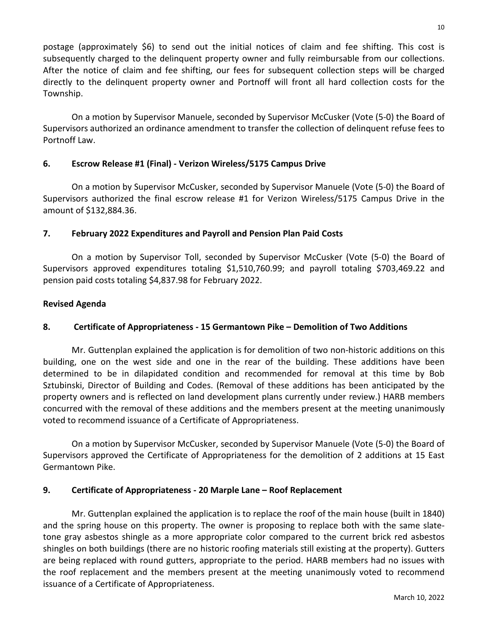postage (approximately \$6) to send out the initial notices of claim and fee shifting. This cost is subsequently charged to the delinquent property owner and fully reimbursable from our collections. After the notice of claim and fee shifting, our fees for subsequent collection steps will be charged directly to the delinquent property owner and Portnoff will front all hard collection costs for the Township.

On a motion by Supervisor Manuele, seconded by Supervisor McCusker (Vote (5-0) the Board of Supervisors authorized an ordinance amendment to transfer the collection of delinquent refuse fees to Portnoff Law.

# **6. Escrow Release #1 (Final) - Verizon Wireless/5175 Campus Drive**

On a motion by Supervisor McCusker, seconded by Supervisor Manuele (Vote (5-0) the Board of Supervisors authorized the final escrow release #1 for Verizon Wireless/5175 Campus Drive in the amount of \$132,884.36.

## **7. February 2022 Expenditures and Payroll and Pension Plan Paid Costs**

On a motion by Supervisor Toll, seconded by Supervisor McCusker (Vote (5-0) the Board of Supervisors approved expenditures totaling \$1,510,760.99; and payroll totaling \$703,469.22 and pension paid costs totaling \$4,837.98 for February 2022.

## **Revised Agenda**

## **8. Certificate of Appropriateness - 15 Germantown Pike – Demolition of Two Additions**

Mr. Guttenplan explained the application is for demolition of two non-historic additions on this building, one on the west side and one in the rear of the building. These additions have been determined to be in dilapidated condition and recommended for removal at this time by Bob Sztubinski, Director of Building and Codes. (Removal of these additions has been anticipated by the property owners and is reflected on land development plans currently under review.) HARB members concurred with the removal of these additions and the members present at the meeting unanimously voted to recommend issuance of a Certificate of Appropriateness.

On a motion by Supervisor McCusker, seconded by Supervisor Manuele (Vote (5-0) the Board of Supervisors approved the Certificate of Appropriateness for the demolition of 2 additions at 15 East Germantown Pike.

## **9. Certificate of Appropriateness - 20 Marple Lane – Roof Replacement**

Mr. Guttenplan explained the application is to replace the roof of the main house (built in 1840) and the spring house on this property. The owner is proposing to replace both with the same slatetone gray asbestos shingle as a more appropriate color compared to the current brick red asbestos shingles on both buildings (there are no historic roofing materials still existing at the property). Gutters are being replaced with round gutters, appropriate to the period. HARB members had no issues with the roof replacement and the members present at the meeting unanimously voted to recommend issuance of a Certificate of Appropriateness.